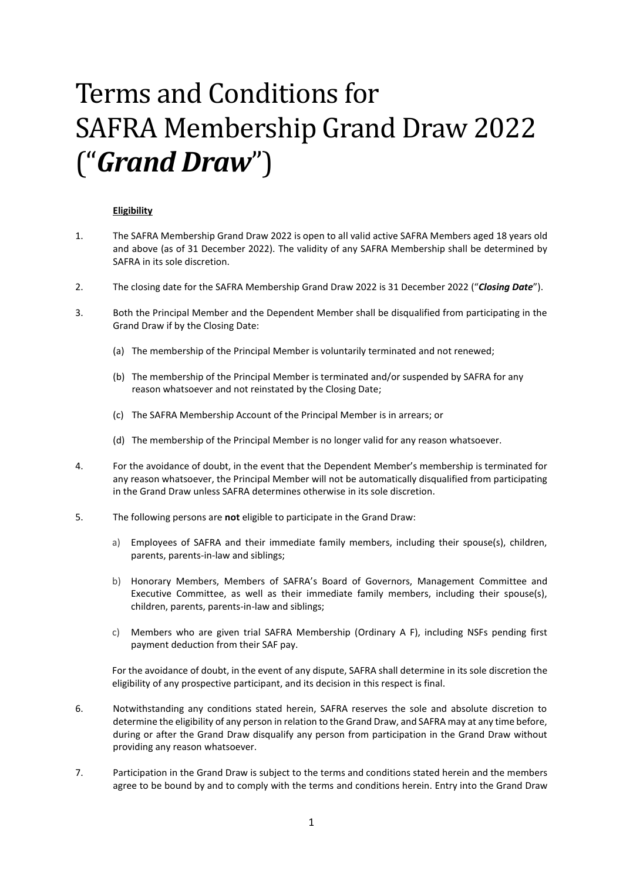# Terms and Conditions for SAFRA Membership Grand Draw 2022 ("*Grand Draw*")

## **Eligibility**

- 1. The SAFRA Membership Grand Draw 2022 is open to all valid active SAFRA Members aged 18 years old and above (as of 31 December 2022). The validity of any SAFRA Membership shall be determined by SAFRA in its sole discretion.
- 2. The closing date for the SAFRA Membership Grand Draw 2022 is 31 December 2022 ("*Closing Date*").
- 3. Both the Principal Member and the Dependent Member shall be disqualified from participating in the Grand Draw if by the Closing Date:
	- (a) The membership of the Principal Member is voluntarily terminated and not renewed;
	- (b) The membership of the Principal Member is terminated and/or suspended by SAFRA for any reason whatsoever and not reinstated by the Closing Date;
	- (c) The SAFRA Membership Account of the Principal Member is in arrears; or
	- (d) The membership of the Principal Member is no longer valid for any reason whatsoever.
- 4. For the avoidance of doubt, in the event that the Dependent Member's membership is terminated for any reason whatsoever, the Principal Member will not be automatically disqualified from participating in the Grand Draw unless SAFRA determines otherwise in its sole discretion.
- 5. The following persons are **not** eligible to participate in the Grand Draw:
	- a) Employees of SAFRA and their immediate family members, including their spouse(s), children, parents, parents-in-law and siblings;
	- b) Honorary Members, Members of SAFRA's Board of Governors, Management Committee and Executive Committee, as well as their immediate family members, including their spouse(s), children, parents, parents-in-law and siblings;
	- c) Members who are given trial SAFRA Membership (Ordinary A F), including NSFs pending first payment deduction from their SAF pay.

For the avoidance of doubt, in the event of any dispute, SAFRA shall determine in its sole discretion the eligibility of any prospective participant, and its decision in this respect is final.

- 6. Notwithstanding any conditions stated herein, SAFRA reserves the sole and absolute discretion to determine the eligibility of any person in relation to the Grand Draw, and SAFRA may at any time before, during or after the Grand Draw disqualify any person from participation in the Grand Draw without providing any reason whatsoever.
- 7. Participation in the Grand Draw is subject to the terms and conditions stated herein and the members agree to be bound by and to comply with the terms and conditions herein. Entry into the Grand Draw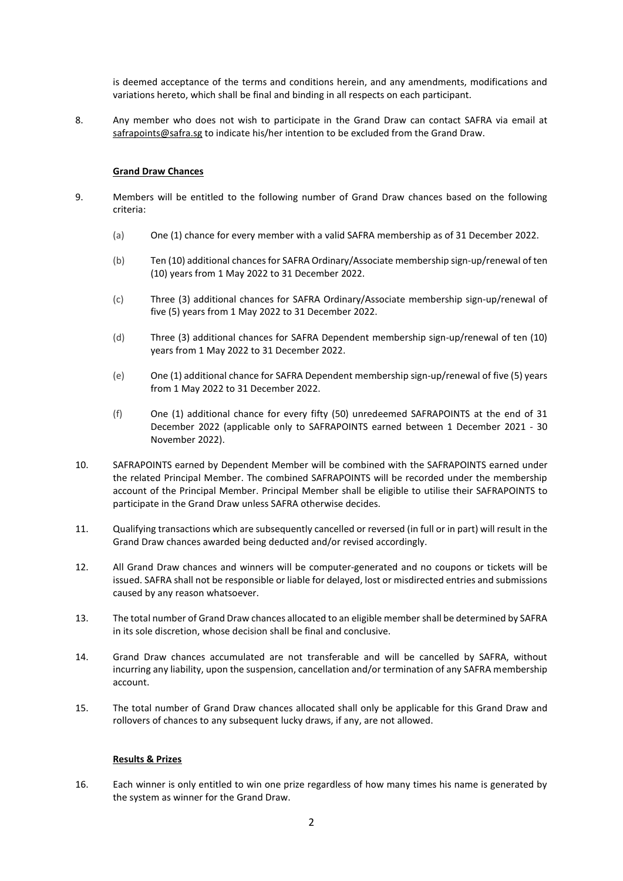is deemed acceptance of the terms and conditions herein, and any amendments, modifications and variations hereto, which shall be final and binding in all respects on each participant.

8. Any member who does not wish to participate in the Grand Draw can contact SAFRA via email at [safrapoints@safra.sg](mailto:safrapoints@safra.sg) to indicate his/her intention to be excluded from the Grand Draw.

## **Grand Draw Chances**

- 9. Members will be entitled to the following number of Grand Draw chances based on the following criteria:
	- (a) One (1) chance for every member with a valid SAFRA membership as of 31 December 2022.
	- (b) Ten (10) additional chances for SAFRA Ordinary/Associate membership sign-up/renewal of ten (10) years from 1 May 2022 to 31 December 2022.
	- (c) Three (3) additional chances for SAFRA Ordinary/Associate membership sign-up/renewal of five (5) years from 1 May 2022 to 31 December 2022.
	- (d) Three (3) additional chances for SAFRA Dependent membership sign-up/renewal of ten (10) years from 1 May 2022 to 31 December 2022.
	- (e) One (1) additional chance for SAFRA Dependent membership sign-up/renewal of five (5) years from 1 May 2022 to 31 December 2022.
	- (f) One (1) additional chance for every fifty (50) unredeemed SAFRAPOINTS at the end of 31 December 2022 (applicable only to SAFRAPOINTS earned between 1 December 2021 - 30 November 2022).
- 10. SAFRAPOINTS earned by Dependent Member will be combined with the SAFRAPOINTS earned under the related Principal Member. The combined SAFRAPOINTS will be recorded under the membership account of the Principal Member. Principal Member shall be eligible to utilise their SAFRAPOINTS to participate in the Grand Draw unless SAFRA otherwise decides.
- 11. Qualifying transactions which are subsequently cancelled or reversed (in full or in part) will result in the Grand Draw chances awarded being deducted and/or revised accordingly.
- 12. All Grand Draw chances and winners will be computer-generated and no coupons or tickets will be issued. SAFRA shall not be responsible or liable for delayed, lost or misdirected entries and submissions caused by any reason whatsoever.
- 13. The total number of Grand Draw chances allocated to an eligible membershall be determined by SAFRA in its sole discretion, whose decision shall be final and conclusive.
- 14. Grand Draw chances accumulated are not transferable and will be cancelled by SAFRA, without incurring any liability, upon the suspension, cancellation and/or termination of any SAFRA membership account.
- 15. The total number of Grand Draw chances allocated shall only be applicable for this Grand Draw and rollovers of chances to any subsequent lucky draws, if any, are not allowed.

### **Results & Prizes**

16. Each winner is only entitled to win one prize regardless of how many times his name is generated by the system as winner for the Grand Draw.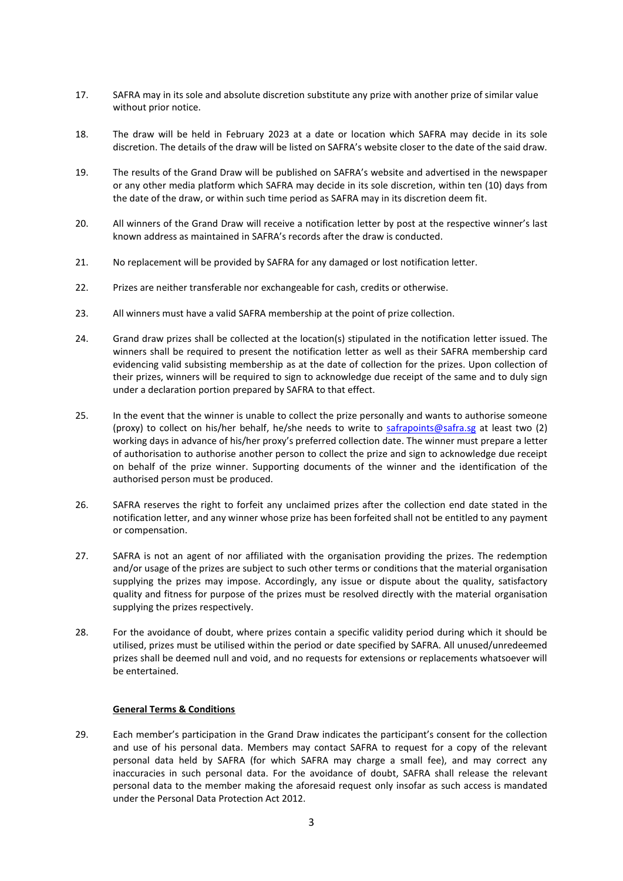- 17. SAFRA may in its sole and absolute discretion substitute any prize with another prize of similar value without prior notice.
- 18. The draw will be held in February 2023 at a date or location which SAFRA may decide in its sole discretion. The details of the draw will be listed on SAFRA's website closer to the date of the said draw.
- 19. The results of the Grand Draw will be published on SAFRA's website and advertised in the newspaper or any other media platform which SAFRA may decide in its sole discretion, within ten (10) days from the date of the draw, or within such time period as SAFRA may in its discretion deem fit.
- 20. All winners of the Grand Draw will receive a notification letter by post at the respective winner's last known address as maintained in SAFRA's records after the draw is conducted.
- 21. No replacement will be provided by SAFRA for any damaged or lost notification letter.
- 22. Prizes are neither transferable nor exchangeable for cash, credits or otherwise.
- 23. All winners must have a valid SAFRA membership at the point of prize collection.
- 24. Grand draw prizes shall be collected at the location(s) stipulated in the notification letter issued. The winners shall be required to present the notification letter as well as their SAFRA membership card evidencing valid subsisting membership as at the date of collection for the prizes. Upon collection of their prizes, winners will be required to sign to acknowledge due receipt of the same and to duly sign under a declaration portion prepared by SAFRA to that effect.
- 25. In the event that the winner is unable to collect the prize personally and wants to authorise someone (proxy) to collect on his/her behalf, he/she needs to write to [safrapoints@safra.sg](mailto:safrapoints@safra.sg) at least two (2) working days in advance of his/her proxy's preferred collection date. The winner must prepare a letter of authorisation to authorise another person to collect the prize and sign to acknowledge due receipt on behalf of the prize winner. Supporting documents of the winner and the identification of the authorised person must be produced.
- 26. SAFRA reserves the right to forfeit any unclaimed prizes after the collection end date stated in the notification letter, and any winner whose prize has been forfeited shall not be entitled to any payment or compensation.
- 27. SAFRA is not an agent of nor affiliated with the organisation providing the prizes. The redemption and/or usage of the prizes are subject to such other terms or conditions that the material organisation supplying the prizes may impose. Accordingly, any issue or dispute about the quality, satisfactory quality and fitness for purpose of the prizes must be resolved directly with the material organisation supplying the prizes respectively.
- 28. For the avoidance of doubt, where prizes contain a specific validity period during which it should be utilised, prizes must be utilised within the period or date specified by SAFRA. All unused/unredeemed prizes shall be deemed null and void, and no requests for extensions or replacements whatsoever will be entertained.

### **General Terms & Conditions**

29. Each member's participation in the Grand Draw indicates the participant's consent for the collection and use of his personal data. Members may contact SAFRA to request for a copy of the relevant personal data held by SAFRA (for which SAFRA may charge a small fee), and may correct any inaccuracies in such personal data. For the avoidance of doubt, SAFRA shall release the relevant personal data to the member making the aforesaid request only insofar as such access is mandated under the Personal Data Protection Act 2012.